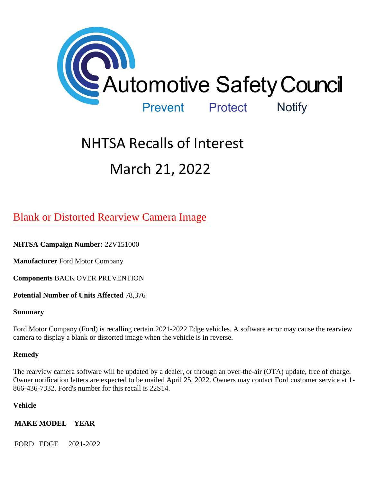

# NHTSA Recalls of Interest March 21, 2022

# [Blank or Distorted Rearview Camera Image](https://www.nhtsa.gov/recalls?nhtsaId=22V151#recalls530)

**NHTSA Campaign Number:** 22V151000

**Manufacturer** Ford Motor Company

**Components** BACK OVER PREVENTION

**Potential Number of Units Affected** 78,376

#### **Summary**

Ford Motor Company (Ford) is recalling certain 2021-2022 Edge vehicles. A software error may cause the rearview camera to display a blank or distorted image when the vehicle is in reverse.

#### **Remedy**

The rearview camera software will be updated by a dealer, or through an over-the-air (OTA) update, free of charge. Owner notification letters are expected to be mailed April 25, 2022. Owners may contact Ford customer service at 1- 866-436-7332. Ford's number for this recall is 22S14.

#### **Vehicle**

**MAKE MODEL YEAR**

FORD EDGE 2021-2022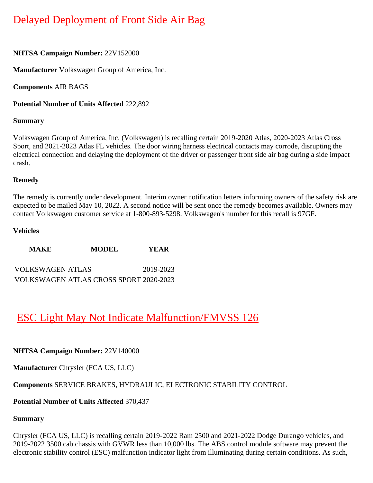# [Delayed Deployment of Front Side Air Bag](https://www.nhtsa.gov/recalls?nhtsaId=22V152#recalls530)

#### **NHTSA Campaign Number:** 22V152000

**Manufacturer** Volkswagen Group of America, Inc.

**Components** AIR BAGS

**Potential Number of Units Affected** 222,892

#### **Summary**

Volkswagen Group of America, Inc. (Volkswagen) is recalling certain 2019-2020 Atlas, 2020-2023 Atlas Cross Sport, and 2021-2023 Atlas FL vehicles. The door wiring harness electrical contacts may corrode, disrupting the electrical connection and delaying the deployment of the driver or passenger front side air bag during a side impact crash.

#### **Remedy**

The remedy is currently under development. Interim owner notification letters informing owners of the safety risk are expected to be mailed May 10, 2022. A second notice will be sent once the remedy becomes available. Owners may contact Volkswagen customer service at 1-800-893-5298. Volkswagen's number for this recall is 97GF.

#### **Vehicles**

| <b>MAKE</b>                            | <b>MODEL</b> | YEAR      |
|----------------------------------------|--------------|-----------|
| <b>VOLKSWAGEN ATLAS</b>                |              | 2019-2023 |
| VOLKSWAGEN ATLAS CROSS SPORT 2020-2023 |              |           |

# [ESC Light May Not Indicate Malfunction/FMVSS 126](https://www.nhtsa.gov/recalls?nhtsaId=22V140#recalls530)

#### **NHTSA Campaign Number:** 22V140000

**Manufacturer** Chrysler (FCA US, LLC)

#### **Components** SERVICE BRAKES, HYDRAULIC, ELECTRONIC STABILITY CONTROL

#### **Potential Number of Units Affected** 370,437

#### **Summary**

Chrysler (FCA US, LLC) is recalling certain 2019-2022 Ram 2500 and 2021-2022 Dodge Durango vehicles, and 2019-2022 3500 cab chassis with GVWR less than 10,000 lbs. The ABS control module software may prevent the electronic stability control (ESC) malfunction indicator light from illuminating during certain conditions. As such,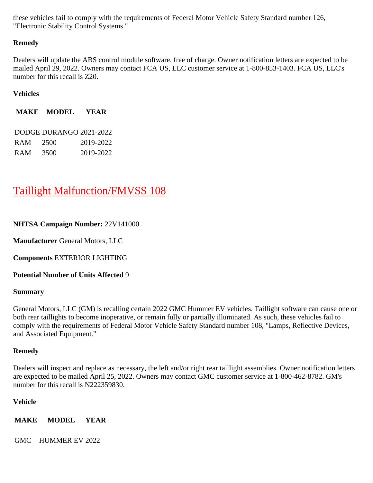these vehicles fail to comply with the requirements of Federal Motor Vehicle Safety Standard number 126, "Electronic Stability Control Systems."

#### **Remedy**

Dealers will update the ABS control module software, free of charge. Owner notification letters are expected to be mailed April 29, 2022. Owners may contact FCA US, LLC customer service at 1-800-853-1403. FCA US, LLC's number for this recall is Z20.

#### **Vehicles**

**MAKE MODEL YEAR**

|            | DODGE DURANGO 2021-2022 |           |
|------------|-------------------------|-----------|
| RAM.       | 2500                    | 2019-2022 |
| <b>RAM</b> | 3500                    | 2019-2022 |

# [Taillight Malfunction/FMVSS 108](https://www.nhtsa.gov/recalls?nhtsaId=22V141#recalls530)

#### **NHTSA Campaign Number:** 22V141000

**Manufacturer** General Motors, LLC

**Components** EXTERIOR LIGHTING

**Potential Number of Units Affected** 9

#### **Summary**

General Motors, LLC (GM) is recalling certain 2022 GMC Hummer EV vehicles. Taillight software can cause one or both rear taillights to become inoperative, or remain fully or partially illuminated. As such, these vehicles fail to comply with the requirements of Federal Motor Vehicle Safety Standard number 108, "Lamps, Reflective Devices, and Associated Equipment."

#### **Remedy**

Dealers will inspect and replace as necessary, the left and/or right rear taillight assemblies. Owner notification letters are expected to be mailed April 25, 2022. Owners may contact GMC customer service at 1-800-462-8782. GM's number for this recall is N222359830.

#### **Vehicle**

**MAKE MODEL YEAR**

GMC HUMMER EV 2022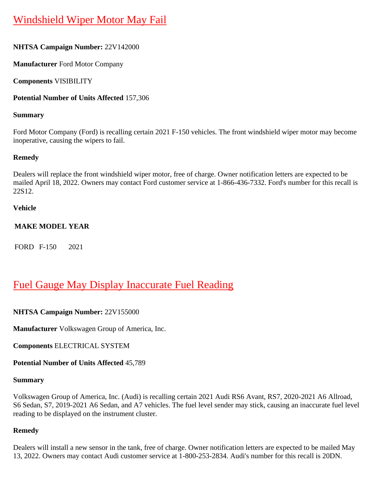# [Windshield Wiper Motor May Fail](https://www.nhtsa.gov/recalls?nhtsaId=22V142#recalls530)

# **NHTSA Campaign Number:** 22V142000

**Manufacturer** Ford Motor Company

**Components** VISIBILITY

### **Potential Number of Units Affected** 157,306

### **Summary**

Ford Motor Company (Ford) is recalling certain 2021 F-150 vehicles. The front windshield wiper motor may become inoperative, causing the wipers to fail.

#### **Remedy**

Dealers will replace the front windshield wiper motor, free of charge. Owner notification letters are expected to be mailed April 18, 2022. Owners may contact Ford customer service at 1-866-436-7332. Ford's number for this recall is 22S12.

#### **Vehicle**

### **MAKE MODEL YEAR**

FORD F-150 2021

# [Fuel Gauge May Display Inaccurate Fuel Reading](https://www.nhtsa.gov/recalls?nhtsaId=22V155#recalls530)

# **NHTSA Campaign Number:** 22V155000

**Manufacturer** Volkswagen Group of America, Inc.

**Components** ELECTRICAL SYSTEM

**Potential Number of Units Affected** 45,789

### **Summary**

Volkswagen Group of America, Inc. (Audi) is recalling certain 2021 Audi RS6 Avant, RS7, 2020-2021 A6 Allroad, S6 Sedan, S7, 2019-2021 A6 Sedan, and A7 vehicles. The fuel level sender may stick, causing an inaccurate fuel level reading to be displayed on the instrument cluster.

#### **Remedy**

Dealers will install a new sensor in the tank, free of charge. Owner notification letters are expected to be mailed May 13, 2022. Owners may contact Audi customer service at 1-800-253-2834. Audi's number for this recall is 20DN.